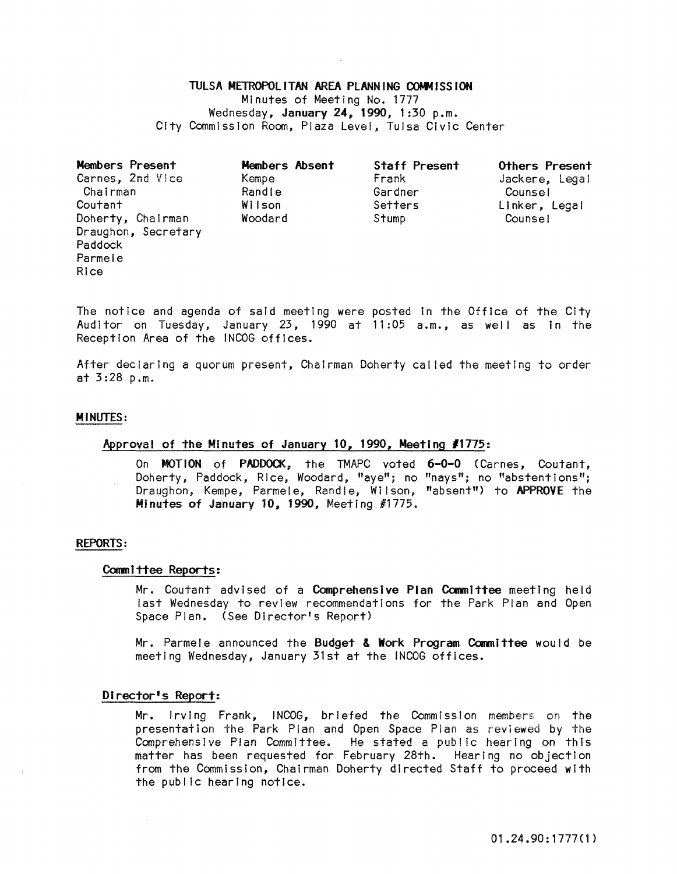# TULSA METROPOLITAN AREA PLANNING COMMISSION

Minutes of Meeting No. 1777 Wednesday, January 24,1990, 1:30 p.m. City Commission Room, Plaza Level, Tulsa Civic Center

| Members Present     | Members Absent | Staff Present | Others Present |
|---------------------|----------------|---------------|----------------|
| Carnes, 2nd Vice    | Kempe          | Frank         | Jackere, Legal |
| Chairman            | Randle         | Gardner       | Counsel        |
| Coutant             | Wilson         | Setters       | Linker, Legal  |
| Doherty, Chairman   | Woodard        | Stump         | Counsel        |
| Draughon, Secretary |                |               |                |
| Paddock             |                |               |                |
| Parmele             |                |               |                |
| Rice                |                |               |                |

The notice and agenda of said meeting were posted in the Office of the City Auditor on Tuesday, January 23, 1990 at 11:05 a.m., as well as in the Reception Area of the INCOG offices.

After declaring a quorum present, Chairman Doherty cal led the meeting to order at 3:28 p.m.

#### MINUTES:

# Approval of the Minutes of January 10, 1990, Meeting *11775:*

On MOTION of PADDOCK, the TMAPC voted 6-0-0 (Carnes, Coutant, Doherty, Paddock, Rice, Woodard, "aye"; no "nays"; no "abstentions"; Draughon, Kempe, Parmele, Randle, Wi Ison, "absent") to APPROVE the Minutes of January 10, 1990, Meeting #1775.

#### REPORTS:

# CommIttee Reports:

Mr. Coutant advised of a Comprehensive Plan Committee meeting held last Wednesday to review recommendations for the Park Plan and Open Space Plan. (See Director's Report)

Mr. Parmele announced the Budget & Work Program Committee would be meeting Wednesday, January 31st at the INCOG offices.

#### Director's Report:

Mr. Irving Frank, INCOG, briefed the Commission members on the presentation the Park Plan and Open Space Pian as reviewed by the Comprehensive Plan Committee. He stated a public hearing on this matter has been requested for February 28th. Hearing no objection from the Commission, Chairman Doherty directed Staff to proceed with the public hearing notice.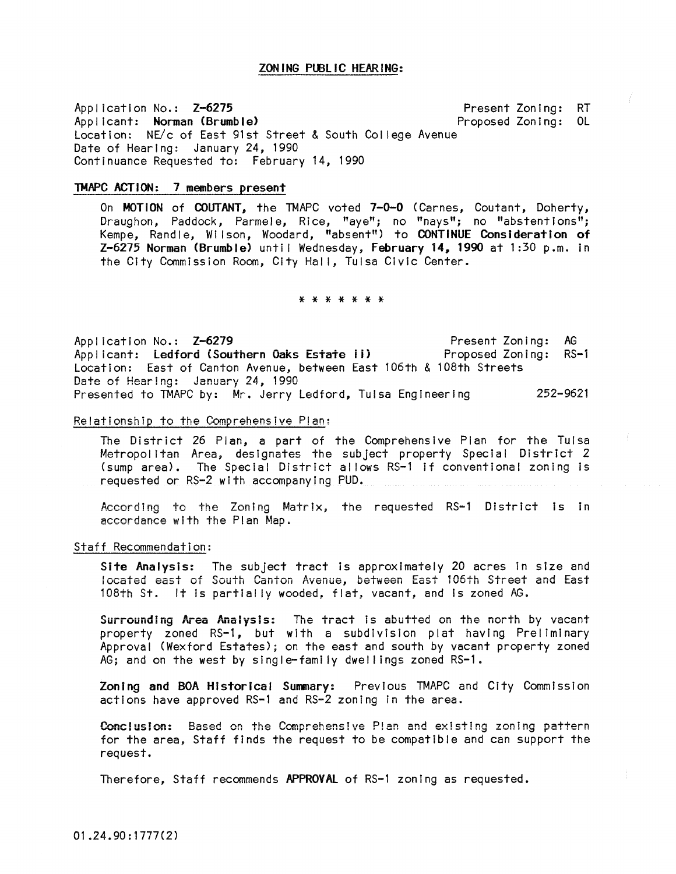Appl icatlon No.: Z-6275 Applicant: Norman (Brumble) Location: NEic of East 91st Street Proposed Zoning: & South Col lege Avenue Date of Hearing: January 24, 1990 Continuance Requested to: February 14, 1990 Present Zoning: RT Proposed Zoning: OL

### TMAPC ACTION: 7 members present

On MOTION of COUTANT, the TMAPC voted 7-0-0 (Carnes, Coutant, Doherty, Draughon, Paddock, Parmele, Rice, "aye"; no "nays"; no "abstentions"; Kempe, Randle, Wilson, Woodard, "absent") to CONTINUE Consideration of  $Z-6275$  Norman (Brumble) until Wednesday, February 14, 1990 at 1:30 p.m. in the City Commission Room, City Hall, Tulsa Civic Center.

\* \* \* \* \* \* \*

Appl ication No.: Z-6279 Applicant: Ledford (Southern Oaks Estate II) Location: East of Canton Avenue, between East 106th & l08th Streets Date of Hearing: January 24, 1990 Presented to TMAPC by: Mr. Jerry Ledford, Tulsa Engineering 252-9621 Present Zoning: AG Proposed Zoning: RS-1

#### Relationship to the Comprehensive Plan:

The District 26 Plan, a part of the Comprehensive Plan for the Tulsa Metropolitan Area, designates the subject property Special District 2 (sump area). The Special District allows RS-l If conventional zoning Is requested or RS-2 with accompanying PUD.

According to the Zoning Matrix, the requested RS-l District Is In accordance with the Plan Map,

### Staff Recommendation:

Site Analysis: The subject tract is approximately 20 acres in size and loeated east of South Canton Avenue, between East 106th Street and East 108th St. It Is partially wooded, flat. vacant, and Is zoned AG.

Surrounding Area Analysis: The tract is abutted on the north by vacant property zoned RS-l, but with a subdivision plat having Preliminary Approval (Wexford Estates); on the east and south by vacant property zoned AG; and on the west by single-family dwellings zoned RS-1.

Zoning and BOA Historical Summary: Previous TMAPC and City Commission actions have approved RS-1 and RS-2 zoning in the area.

ConclusIon: Based on the Comprehensive Plan and existing zoning pattern for the area, Staff finds the request to be compatible and can support the request.

Therefore, Staff recommends APPROVAl of RS-l zoning as requested.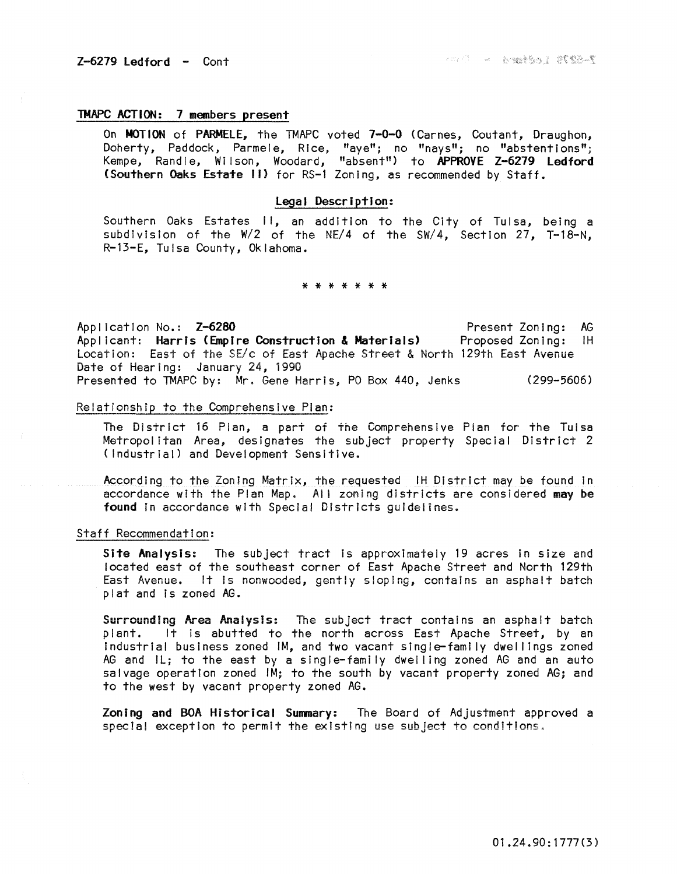On MOTION of PARMELE, the TMAPC voted 7-0-0 (Carnes, Coutant, Draughon, Doherty, Paddock, Parmele, Rice, "aye"; no "nays!!; no "abstentions"; Kempe, Randle, Wilson, Woodard, "absent") to APPROVE Z-6279 Ledford (Southern Oaks Estate II) for RS-1 Zoning, as recommended by Staff.

#### legal Description:

Southern Oaks Estates II, an addition to the City of Tulsa, being a subdivision of the  $W/2$  of the NE/4 of the SW/4, Section 27, T-18-N, R-13-E, Tulsa County, Oklahoma.

#### \* \* \* \* \* \* \*

Appl icatlon No.: Z-6280 Appl icant: Harris (Empire COnstruction & Materials) Proposed Zoning: IH **Location: East** of the SE/c **of** East **Apache** Street **& North**  129th East Avenue Date of Hearing: January 24, 1990 Presented to TMAPC by: Mr. Gene Harris, PO Box 440, Jenks (299-5606) Present Zoning: AG

#### Relationship to the Comprehensive Plan:

The District 16 Pian, a part of the Comprehensive Pian for the Tuisa Metropolitan Area, designates the subject property Special District 2 (Industrial) and Development Sensitive.

According to the Zoning Matrix, the requested IH District may be found in accordance with the Plan Map. All zoning districts are considered may be found in accordance with Special Districts guidelines.

#### Staff Recommendation:

Site Analysis: The subject tract is approximately 19 acres in size and located east of the southeast corner of East Apache Street and North 129th East Avenue. It Is nonwooded, gently sloping, contains an asphalt batch plat and Is zoned AG.

Surrounding Area Analysis: The subject tract contains an asphalt batch plant. It is abutted to the north across East Apache Street, by an industrial business zoned IM, and two vacant single-family dwellings zoned AG and Il; to the east by a single-fami Iy dwelling zoned AG and an auto salvage operation zoned 1M; to the south by vacant property zoned AG; and to the west by vacant property zoned AG.

Zoning and BOA Historical Summary: The Board of Adjustment approved a special exception to permit the existing use subject to conditions.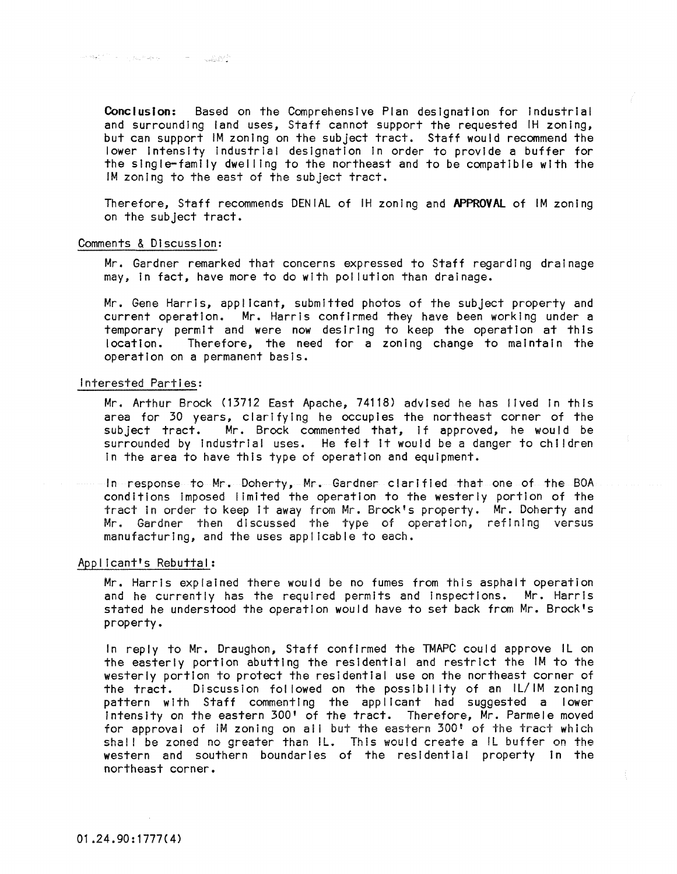**Conclusion:** Based on the Comprehensive Plan designation for Industrial and surrounding land uses, Staff cannot support the requested IH zoning, but can support IM zoning on the subject tract. Staff would recommend the lower Intensity Industrial designation In order to provide a buffer for the single-family dwel ling to the northeast and to be compatible with the 1M zoning to the east of the subject tract.

Therefore, Staff recommends DENIAL of IH zoning and **APPROVAl** of 1M zoning on the subject tract.

#### Comments & Discussion:

Mr. Gardner remarked that concerns expressed to Staff regarding drainage may, In fact, have more to do with pollution than drainage.

Mr. Gene Harris, appl icant, submitted photos of the subject property and current operation. Mr. Harris confirmed they have been working under a temporary permit and were now desiring to keep the operation at this Therefore, the need for a zoning change to maintain the operation on a permanent basis.

#### Interested Parties:

Mr. Arthur Brock (13712 East Apache, 74118) advised he has lived In this area for 30 years, clarifying he occupies the northeast corner of the subject tract. Mr. Brock commented that, if approved, he would be surrounded by Industrial uses. He felt It would be a danger to children In the area to have this type of operation and equipment.

I n response to Mr. Doherty, Mr. Gardner c I ar! f! ed that one of the BOA conditions imposed limited the operation to the westerly portion of the tract In order to keep It away from Mr. Brock's property. Mr. Doherty and **Mr. Gardner then discussed the type of operation, refInIng versus**  manufacturing, and the uses applicable to each.

# Applicant's Rebuttal:

Mr. Harris explained there would be no fumes from this asphalt operation and he currently has the required permits and Inspections. Mr. Harris stated he understood the operation would have to set back from Mr. Brock's property.

In reply to Mr. Draughon, Staff confirmed the TMAPC could approve IL on the easterly portion abutting the residential and restrict the 1M to the westerly portion to protect the residential use on the northeast corner of the tract. Discussion followed on the possibility of an IL/IM zoning pattern with Staff commenting the applicant had suggested a lower Intensity on the eastern 300' of the tract. Therefore, Mr. Parmele moved for approval of 1M zoning on all but the eastern 300' of the tract which shall be zoned no greater than IL. This would create a IL buffer on the western and southern boundaries of the residential property in the northeast corner.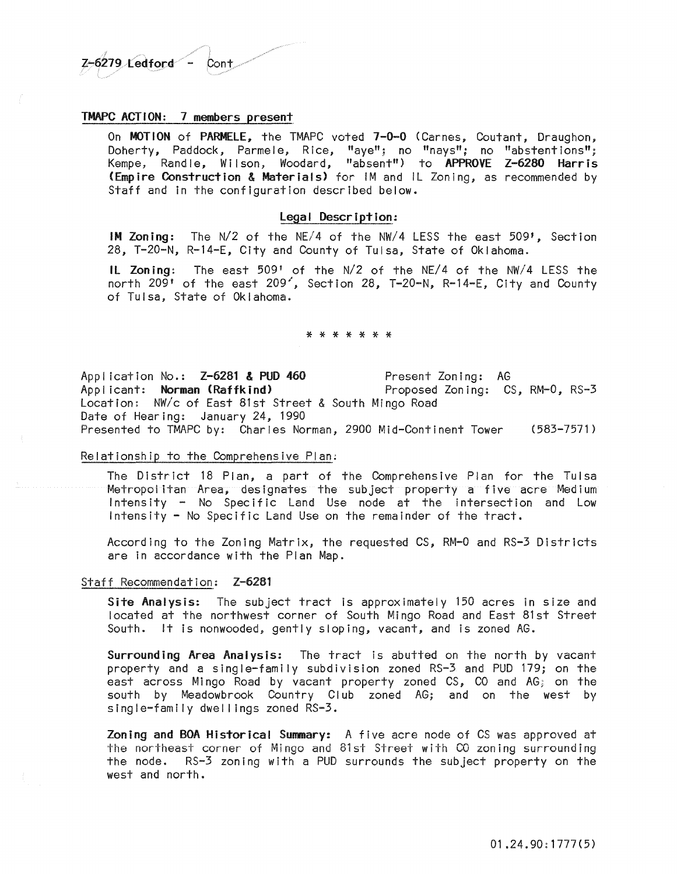$Z=6279$  Ledford - Cont.

On MOTION of PARMELE, the TMAPC voted 7-0-0 (Carnes, Coutant, Draughon, Doherty. Paddock, Parmele, Rice. "aye"; no "nays"; no "abstentions"; Kempe, Randle, Wilson, Woodard, "absent") to <mark>APPROVE Z-6280 Harris</mark> (Empire Construction & Materials) for 1M and IL Zoning; as recommended by Staff and In the configuration described below.

#### legal Description:

1M Zoning! The N/2 of the NE/4 of the NW/4 LESS the east 509', Section 28. T-20-N, R-14-E, City and County of Tulsa, State of Oklahoma.

IL Zoning: The east 509' of the N/2 of the NE/4 of the NW/4 LESS the north  $209'$  of the east  $209'$ , Section 28, T-20-N, R-14-E, City and County of Tulsa, State of Oklahoma.

#### \* \* \* \* \* \* \*

Appl ication No.: Z-6281 & PUD 460 Appl icant: Norman (Raffkind) Present Zoning: AG Proposed Zoning: CS, RM-O, RS-3 Location: NW/c of East 81st Street & South Mingo Road Date of Hearing: January 24, 1990 Presented to TMAPC by: Charles Norman, 2900 Mid-Continent Tower (583-7571 )

#### Relationship to the Comprehensive Plan:

The District 18 Plan, a part of the Comprehensive Plan for the Tulsa Metropoi itan Area, designates the subject property a five acre Medium Intensity - No Specific Land Use node at the intersection and Low Intensity - No Specific Land Use on the remainder of the tract.

According to the Zoning MatriX, the requested CS, RM-O and RS-3 Districts are in accordance with the Plan Map.

### Staff Recommendation: Z-6281

Site Analysis: The subject tract is approximately 150 acres in size and located at the northwest corner of South Mingo Road and East 81st Street South. It is nonwooded, gently sloping, vacant, and is zoned AG.

Surrounding Area Analysis: The tract is abutted on the north by vacant property and a single-family subdivision zoned RS-3 and PUD 179; on the east across Mingo Road by vacant property zoned CS, CO and AG; on the south by Meadowbrook Country Club zoned AG; and on the west by single-family dwellings zoned RS-3.

Zoning and BOA Historical Summary: A five acre node of CS was approved at the northeast corner of Mingo and 81st Street with CO zoning surrounding the node. RS-3 zoning with a PUD surrounds the subject property on the west and north.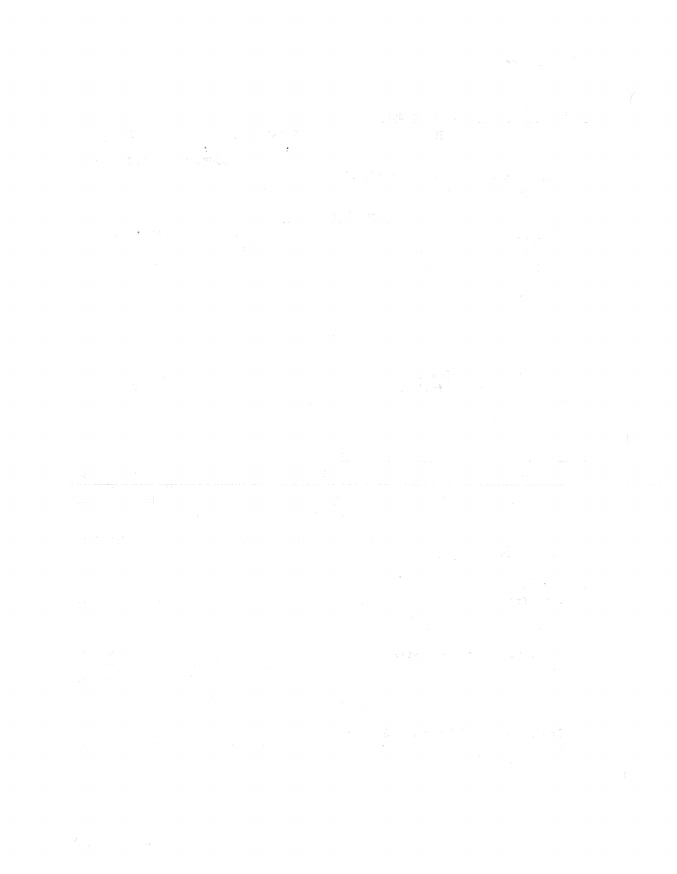$\label{eq:2.1} \frac{1}{2} \int_{\mathbb{R}^2} \left| \frac{1}{2} \left( \frac{1}{2} \right)^2 \right|^2 \, d\mathbf{r} \, \mathrm{d} \mathbf{r} \, \mathrm{d} \mathbf{r} \, \mathrm{d} \mathbf{r} \, \mathrm{d} \mathbf{r} \, \mathrm{d} \mathbf{r} \, \mathrm{d} \mathbf{r} \, \mathrm{d} \mathbf{r} \, \mathrm{d} \mathbf{r} \, \mathrm{d} \mathbf{r} \, \mathrm{d} \mathbf{r} \, \mathrm{d} \mathbf{r} \, \mathrm{d} \mathbf{r$ 

 $\label{eq:2.1} \begin{split} \mathcal{L}^{(1)}_{\text{max}}(\mathbf{X}) = \begin{bmatrix} \mathcal{L}^{(1)}_{\text{max}} & \mathcal{L}^{(1)}_{\text{max}} \\ \mathcal{L}^{(1)}_{\text{max}} & \mathcal{L}^{(1)}_{\text{max}} \end{bmatrix} & \mathcal{L}^{(1)}_{\text{max}}(\mathbf{X}) = \begin{bmatrix} \mathcal{L}^{(1)}_{\text{max}} & \mathcal{L}^{(1)}_{\text{max}} \\ \mathcal{L}^{(1)}_{\text{max}} & \mathcal{L}^{(1)}_{\text{max}} & \mathcal{L}$ 

 $\label{eq:2.1} \mathcal{L}(\frac{p}{2}) = \mathcal{L}(\frac{p}{2})$ 

 $\label{eq:2.1} \frac{1}{2} \left( \frac{1}{2} \left( \frac{1}{2} \right) \right) \left( \frac{1}{2} \left( \frac{1}{2} \right) \right) \left( \frac{1}{2} \left( \frac{1}{2} \right) \right) \left( \frac{1}{2} \left( \frac{1}{2} \right) \right) \left( \frac{1}{2} \left( \frac{1}{2} \right) \right) \left( \frac{1}{2} \left( \frac{1}{2} \right) \right) \left( \frac{1}{2} \right) \left( \frac{1}{2} \right) \left( \frac{1}{2} \right) \left( \frac{1}{2$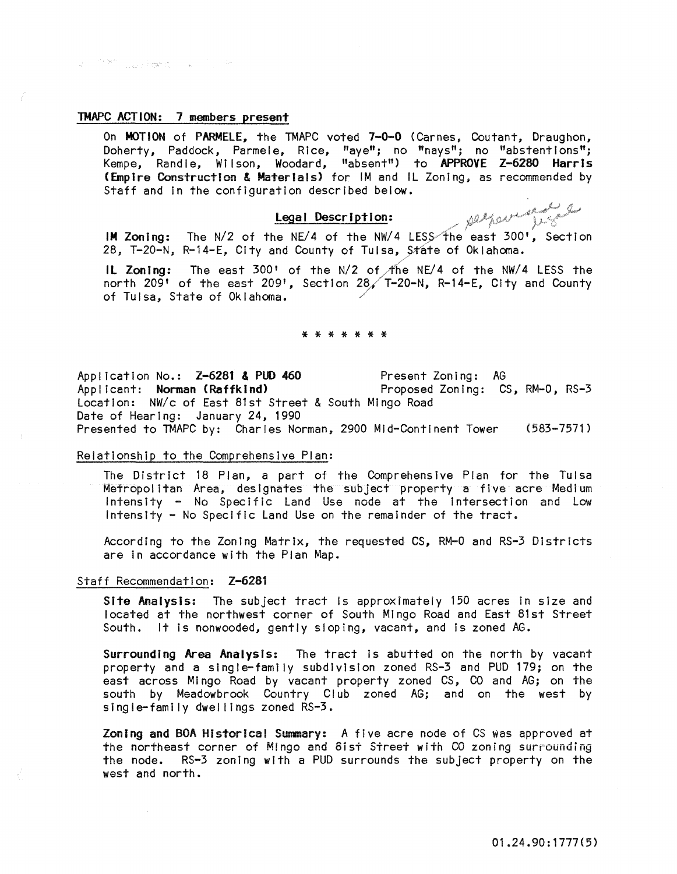On MOTION of PARMELE, the TMAPC voted 7-0-0 (Carnes, Coutant, Draughon, Doherty, Paddock, Parmele, Rice, "aye"; no "nays"; no "abstentions"; Kempe, Randle, Wilson, Woodard, "absent") to <mark>APPROVE Z-6280 Harris</mark> (Empire Construction & Materials) for IM and IL Zoning, as recommended by Staff and In the configuration described below.

Legal Description: personnelse

IM Zoning: The N/2 of the NE/4 of the NW/4 LESS the east 300', Section 28, T-20-N, R-14-E, City and County of Tulsa, State of Oklahoma.

IL Zoning: The east  $300'$  of the N/2 of the NE/4 of the NW/4 LESS the north 209' of the east 209', Section  $28/7-20-N$ , R-14-E, City and County of Tulsa, State of Oklahoma.

#### \* \* \* \* \* \* \*

Application No.: Z-6281 & PUD 460 Applicant: Norman (Raffkind) Present Zoning: AG Proposed Zoning: CS, RM-O, RS-3 Location: NW/c of East 81st Street & South Mingo Road Date of Hearing: January 24, 1990 Presented to TMAPC by: Charles Norman, 2900 Mid-Continent Tower (583-7571)

# Relationship to the Comprehensive Plan:

The District 18 Plan, a part of the Comprehensive Plan for the Tulsa Metropolitan Area, designates the subject property a five acre Medium IntensIty - No Specific Land Use node at the Intersection and Low Intensity - No Specific Land Use on the remainder of the tract.

According to the Zoning Matrix, the requested CS, RM-O and RS-3 Districts are in accordance with the Plan Map.

# Staff Recommendation: Z-6281

Site Analysis: The subject tract Is approximately 150 acres in size and located at the northwest corner of South Mingo Road and East 81st Street South. It Is nonwooded, gently sloping, vacant, and Is zoned AG.

Surrounding Area Analysts: The tract Is abutted on the north by vacant property and a single-family subdivision zoned RS-3 and PUD 179; on the east across Mingo Road by vacant property zoned CS, CO and AG; on the south by Meadowbrook Country Club zoned AG; and on the west by single-family dwel lings zoned RS-3.

Zoning and BOA Historical Summary: A five acre node of CS was approved at the northeast corner of Mingo and 51st Street with CO zoning surrounding the node. RS-3 zoning with a PUD surrounds the subject property on the west and north.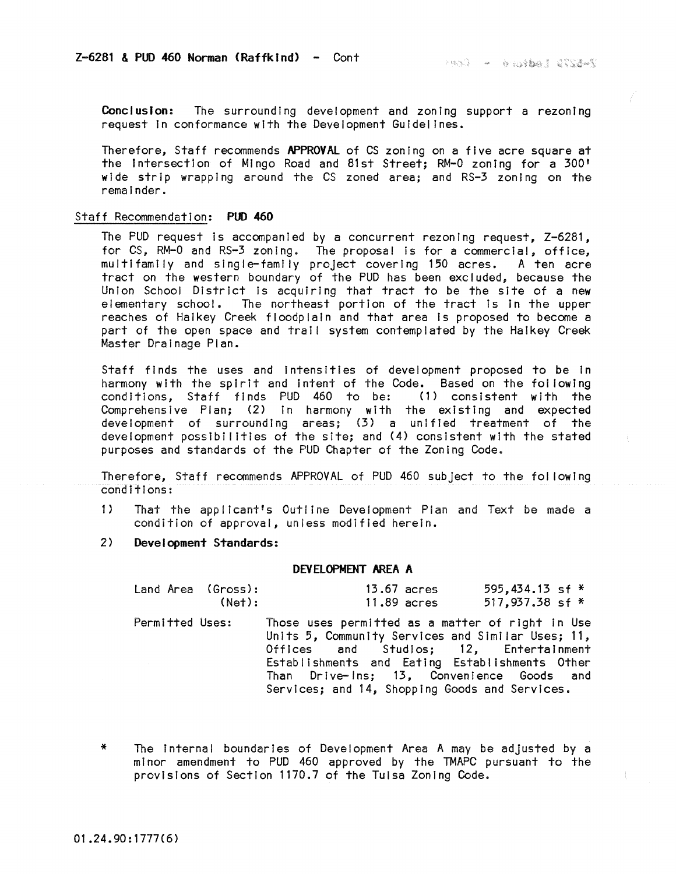Conclusion: The surrounding development and zoning support a rezoning request In conformance with the Development Guidelines.

Therefore, Staff recommends APPROVAL of CS zoning on a five acre square at the Intersection of Mingo Road and 81st Street; RM-O zoning for a 300' wide strip wrapping around the CS zoned area; and RS-3 zoning on the remainder.

#### Staff Recommendation: PUD 460

The PUD request is accompanied by a concurrent rezoning request, Z-6281, for CS, RM-O and RS-3 zoning. The proposal Is for a commercial, office, multifamily and single-family project covering 150 acres. A ten acre tract on the western boundary of the PUD has been excluded, because the Union School District Is acquiring that tract to be the site of a new elementary school. The northeast portion of the tract is in the upper reaches of Haikey Creek floodplain and that area Is proposed to become a part of the open space and trail system contemplated by the Halkey Creek Master Drainage Plan.

Staff finds the uses and intensities of development proposed to be <mark>in</mark> harmony with the spirit and intent of the Code. Based on the following conditions, Staff finds PUD 460 to be: (1) consistent with the Comprehensive Plan; (2) In harmony with the existing and expected development of surroundIng areas; (3) a unified treatment of the development possibilities of the site; and (4) consistent with the stated purposes and standards of the PUD Chapter of the Zoning Code.

Therefore, Staff recommends APPROVAL of PUD 460 subject to the fol lowing conditions:

- 1) That the applicant's Outline Development Plan and Text be made a condition of approval, unless modified herein.
- 2) Development Standards:

#### DEVELOPMENT AREA A

| Land Area (Gross): |        | 13.67 acres | 595,434.13 sf $*$ |
|--------------------|--------|-------------|-------------------|
|                    | (Net): | 11.89 acres | 517,937.38 sf $*$ |

- Permitted Uses: Those uses permitted as a matter of right in Use Units 5, Community Services and Similar Uses; 11,<br>Offices and Studios; 12, Entertainment and Studios; 12, Entertainment Establishments and Eating Establ ishments Other Than Drive-Ins; 13, Convenience Goods and Services; and 14, Shopping Goods and Services.
- \* The internal boundaries of Development Area A may be adjusted by a mt nor amendment to PUD 460 approved by the TMAPC pursuant to the provisions of Section 1170.7 of the Tulsa Zoning Code.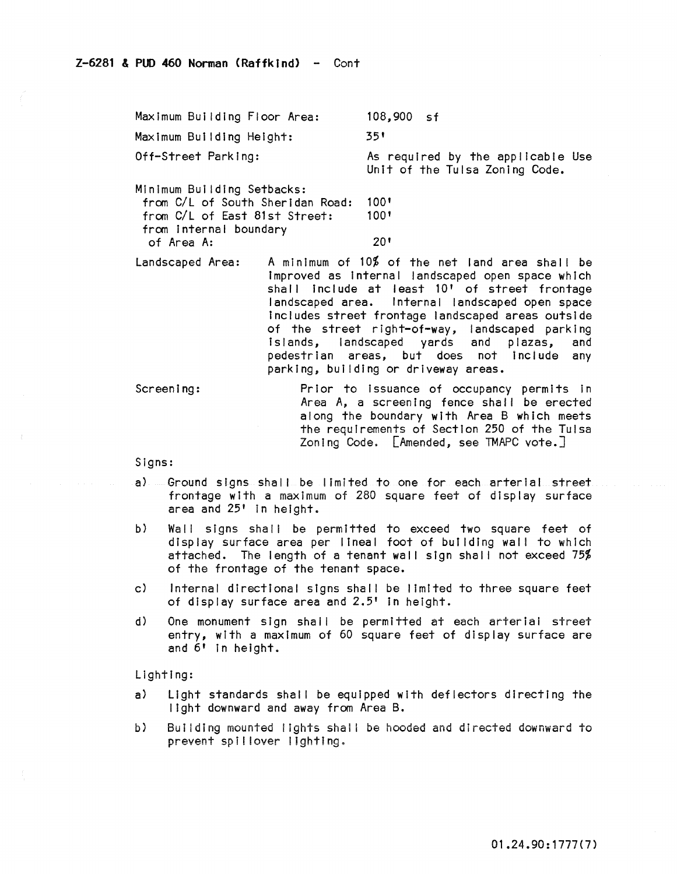| Maximum Building Floor Area:                                                                                              | $108,900$ sf                                                        |
|---------------------------------------------------------------------------------------------------------------------------|---------------------------------------------------------------------|
| Maximum Building Height:                                                                                                  | 351                                                                 |
| Off-Street Parking:                                                                                                       | As required by the applicable Use<br>Unit of the Tulsa Zoning Code. |
| Minimum Building Setbacks:<br>from C/L of South Sheridan Road:<br>from C/L of East 81st Street:<br>from internal boundary | 100'<br>100'                                                        |
| of Area A:                                                                                                                | 20'                                                                 |
|                                                                                                                           |                                                                     |

landscaped Area: A minimum of  $10\%$  of the net land area shall be Improved as Internal landscaped open space which shall include at least 10' of street frontage I andscaped area. Internal landscaped open space Includes street frontage landscaped areas outside of the street right-of-way, landscaped parking<br>islands, landscaped yards and plazas, and islands, landscaped yards and pedestrian areas, but does not Include any parking, building or driveway areas.

Screening: Prior to issuance of occupancy permits in Area A, a screening fence shall be erected along the boundary with Area B which meets the requirements of Section 250 of the Tulsa Zoning Code. [Amended, see TMAPC vote.]

Signs:

- a) Ground signs shall be limited to one for each arterial street. frontage with a maximum of 280 square feet of display surface area and 25' In height.
- b) Wall signs shall be permitted to exceed two square feet of display surface area per lineal foot of building wall to which attached. The length of a tenant wall sign shall not exceed  $75%$ of the frontage of the tenant space.
- c) Internal directional signs shall be limited to three square feet of display surface area and 2.5' In height.
- d) One monument sign shall be permitted at each arterial street entry, with a maximum of 60 square feet of display surface are and 6' In height.

lighting:

- a) Light standards shall be equipped with deflectors directing the light downward and away from Area B.
- b) Building mounted lights shall be hooded and directed downward to prevent spil lover lighting.

01.24.90: 1777(7)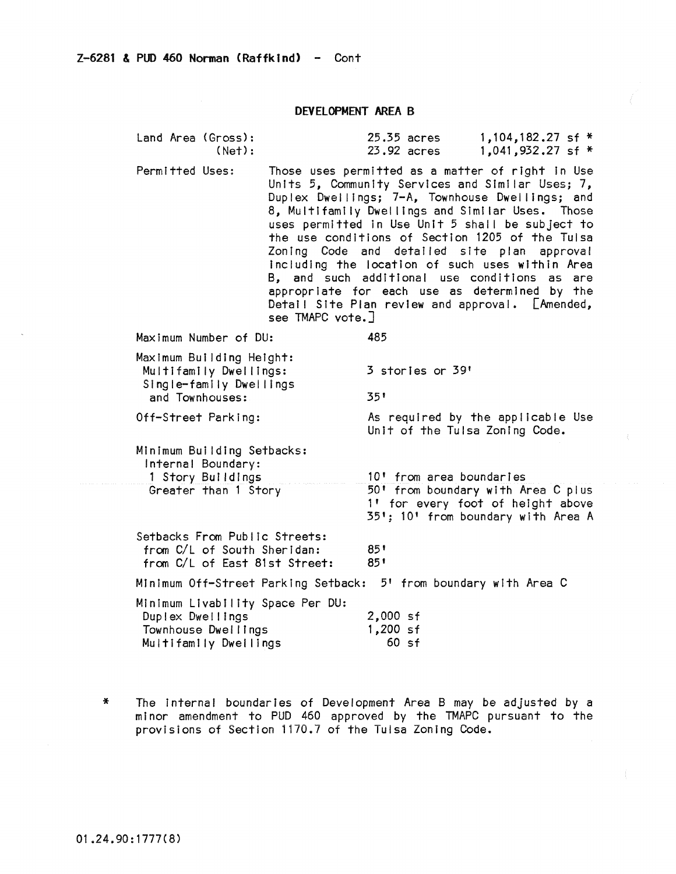#### DEVELOPMENT AREA B

| Land Area (Gross): | $25.35$ acres | 1,104,182.27 sf $*$ |
|--------------------|---------------|---------------------|
| (Net):             | 23.92 acres   | 1,041,932.27 sf $*$ |

Permitted Uses: Those uses permitted as a matter of right In Use Units 5, Community Services and Simi lar Uses; 7, Duplex Dwellings; 7-A, Townhouse Dwellings; and 8, Multifamily Dwel lings and Simi lar Uses. Those uses permitted in Use Unit 5 shall be subject to the use conditions of Section 1205 of the Tulsa ZonIng Code and detailed site plan approval Including the location of such uses within Area B, and such additional use conditions as are appropriate for each use as determined by the Detall Site Plan review and approval. [Amended, see TMAPC vote.]

Maximum Number of DU: 485 Maximum Building Height: Multifamily Dwel lings: Single-family Dwellings and Townhouses: Off-Street Parking: Minimum Bui Idlng Setbacks: Internal Boundary: 1 Story Buildings Greater than 1 Story Setbacks From Public Streets: from *C/l* of South Sheridan: from *C/l* of East 81st Street: Minimum Off-Street Parking Setback: 5' from boundary with Area C Minimum Livability Space Per DU: **Duplex Owel! tngs**  Townhouse Dwel lings Multifamily Dwellings 3 stories or 39' 35' As required by the applicable Use Unit of the Tulsa Zoning Code. 10' from area boundaries 50' from boundary with Area C plus l' for every foot of height above 35'; 10' from boundary with Area A 85' 85 <sup>f</sup> **2,000 sf**  1,200 sf 60 sf

\* The internal boundaries of Development Area B may be adjusted by a ml nor amendment to PUD 460 approved by the TMAPC pursuant to the provisions of Section 1170.7 of the Tulsa Zoning Code.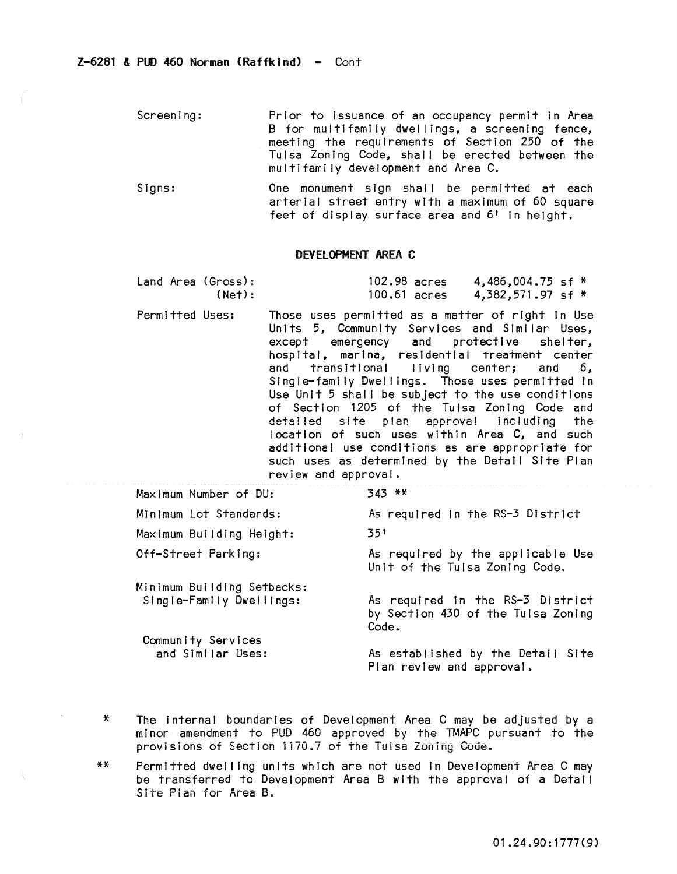- Screening: Prior to Issuance of an occupancy permit In Area B for multifamily dwellings, a screening fence, meeting the requirements of Section 250 of the Tulsa Zoning Code, shall be erected between the multifamily development and Area C.
- Signs: One monument sign shall be permitted at each arterial street entry with a maximum of 60 square feet of display surface area and 6' In height.

#### DEVELOPMENT AREA C

- Land Area (Gross): (Net) : 102.98 acres 100.61 acres 4,486,004.75 sf \* 4,382,571.97 sf \*
- Permitted Uses: Those uses permitted as a matter of right In Use Units 5, Community Services and Similar Uses,<br>except emergency and protective shelter, except emergency and hospital, marina, residential treatment center<br>and transitional living center; and 6, transitional living Single-fam! Iy Dwel lings. Those uses permitted In Use Unit 5 shall be subject to the use conditions of Section 1205 of the Tulsa Zoning Code and<br>detailed site plan approval including the detailed site plan approval location of such uses within Area C, and such additional use conditions as are appropriate for such uses as determined by the Detail Site Plan review and approval.

| Maximum Number of DU:                                  | 343 **                                                                          |
|--------------------------------------------------------|---------------------------------------------------------------------------------|
| Minimum Lot Standards:                                 | As required in the RS-3 District                                                |
| Maximum Building Height:                               | 351                                                                             |
| Off-Street Parking:                                    | As required by the applicable Use<br>Unit of the Tulsa Zoning Code.             |
| Minimum Building Setbacks:<br>Single-Family Dwellings: | As required in the RS-3 District<br>by Section 430 of the Tulsa Zoning<br>Code. |
| Community Services<br>and Similar Uses:                | As established by the Detail Site<br>Plan review and approval.                  |

- \* The Internal boundaries of Development Area C may be adjusted by a ml nor amendment to PUD 460 approved by the TMAPC pursuant to the provisions of Section 1170.7 of the Tulsa Zoning Code.
- \*\* Permitted dwelling units which are not used in Development Area C may be transferred to Development Area B with the approval of a Detail Site Plan for Area B.
-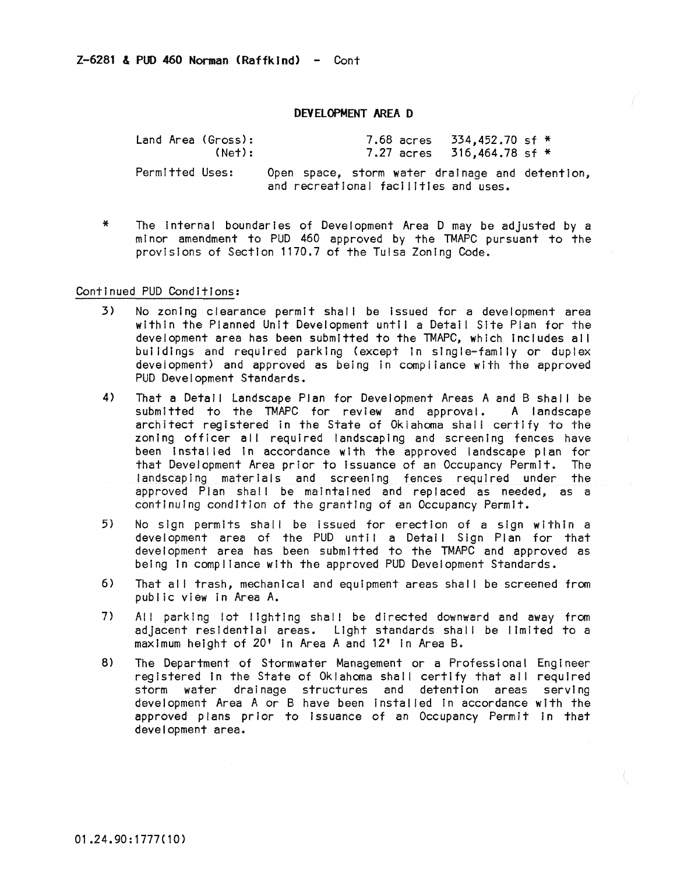# DEVELOPMENT AREA D

| Land Area (Gross): | (Net): | 7.68 acres                            | 334,452.70 sf *<br>7.27 acres 316,464.78 sf * |                                                 |
|--------------------|--------|---------------------------------------|-----------------------------------------------|-------------------------------------------------|
| Permitted Uses:    |        | and recreational facilities and uses. |                                               | Open space, storm water drainage and detention, |

\* The internal boundaries of Development Area 0 may be adjusted by a ml nor amendment to PUD 460 approved by the TMAPC pursuant to the provisions of Section 1170.7 of the Tulsa Zoning Code.

# Continued PUD Conditions:

- 3) No zoning clearance permit shall be issued for a development area within the Planned Unit Development until a Detail Site Plan for the development area has been submitted to the TMAPC, which includes all but idlngs and required parking (except In slngle~famlly or duplex development) and approved as being in compliance with the approved PUD Development Standards.
- 4) That a Detail Landscape Plan for Development Areas A and B shall be submitted to the TMAPC for review and approval. A landscape architect registered in the State of Oklahoma shall certify to the zoning officer all required landscaping and screening fences have been installed in accordance with the approved landscape plan for that Development Area prior to Issuance of an Occupancy Permit. The landscaping materials and screening fences required under the approved Plan shall be maintained and replaced as needed, as a continuing condition of the granting of an Occupancy Permit.
- 5) No sign permits shall be issued for erection of a sign within a development area of the PUD until a Detail Sign Plan for that development area has been submitted to the TMAPC and approved as being In compliance with the approved PUD Development Standards.
- 6) That all trash, mechanical and equipment areas shall be screened from public view in Area A.
- 7) All parking lot lighting shall be directed downward and away from adjacent residential areas. Light standards shall be limited to a maximum height of 20' in Area A and 12' In Area B.
- 8) The Department of Stormwater Management or a Professional Engineer registered in the State of Oklahoma shall certify that all required storm water drainage structures and detention areas serving development Area A or B have been installed in accordance with the approved plans prior to issuance of an Occupancy Permit in that development area.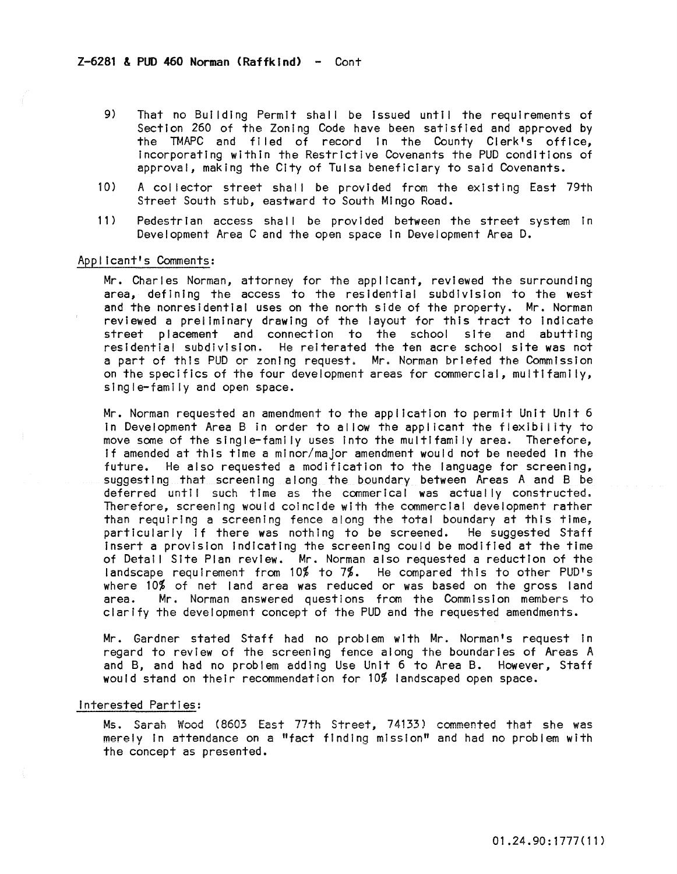- 9) That no Building Permit shall be Issued until the requirements of Section 260 of the Zoning Code have been satisfied and approved by the TMAPC and filed of record in the County Clerk's office, Incorporating within the Restrictive Covenants the PUD conditions of approval, making the City of Tulsa beneficiary to said Covenants.
- 10) A collector street shall be provided from the existing East 79th Street South stub, eastward to South Mingo Road.
- 11) Pedestrian access shall be provided between the street system in Development Area C and the open space In Development Area D.

#### Applicant's Comments:

Mr. Charles Norman, attorney for the applicant, reviewed the surrounding area, defining the access to the residential subdivision to the west and the nonresidential uses on the north side of the property. Mr. Norman reviewed a preliminary drawing of the layout for this tract to indicate street placement and connection to the school site and abutting residential subdivision. He reiterated the ten acre school site was not a part of this PUD or zoning request. Mr. Norman briefed the Commission on the specifics of the four development areas for commercial, multifamily, single-family and open space.

Mr. Norman requested an amendment to the application to permit Unit Unit 6 In Development Area B in order to allow the applicant the flexibility to move some of the single-family uses into the multifamily area. Therefore, If amended at this time a minor/major amendment would not be needed In the future. He also requested a modification to the language for screening, suggesting that screening along the boundary between Areas A and B be deferred until such time as the commerical was actually constructed. Therefore, screening would coincide wIth the commercial development rather than requiring a screening fence along the total boundary at this time, particularly if there was nothing to be screened. He suggested Staff Insert a provision Indicating the screening could be modified at the time of Detail Site Plan review. Mr. Norman also requested a reduction of the landscape requirement from  $10\%$  to  $7\%$ . He compared this to other PUD's where  $10\%$  of net land area was reduced or was based on the gross land area. Mr. Norman answered questions from the Commission members to clarify the development concept of the PUD and the requested amendments.

Mr. Gardner stated Staff had no problem with Mr. Norman's request in regard to review of the screening fence along the boundaries of Areas A and B, and had no problem adding Use Unit 6 to Area B. However, Staff would stand on their recommendation for 10% landscaped open space.

# Interested Parties:

Ms. Sarah Wood (8603 East 77th Street, 74133) commented that she was merely In attendance on a "fact finding mission" and had no problem with the concept as presented.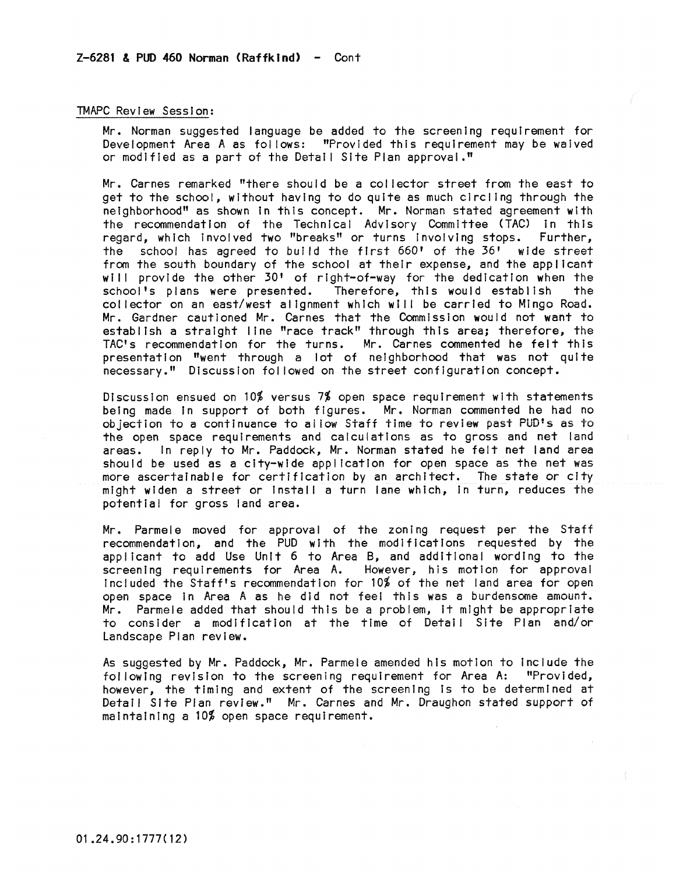#### TMAPC Review Session:

Mr. Norman suggested language be added to the screening requirement for Development Area A as follows: "Provided this requirement may be waived or modified as a part of the Detail Site Plan approval."

Mr. Carnes remarked "there should be a collector street from the east to get to the school, without having to do quite as much circling through the neighborhood" as shown In this concept. Mr. Norman stated agreement with the recommendation of the Technical Advisory Committee (TAC) In this regard, which Involved two "breaks" or turns Involving stops. Further, the school has agreed to build the first 660' of the 36' wide street from the south boundary of the school at their expense, and the applicant will provide the other 30' of right-of-way for the dedication when the school's plans were presented. Therefore, this would establish the school's plans were presented. Therefore, this would establish col lector on an east/west alignment which will be carried to Mingo Road. Mr. Gardner cautioned Mr. Carnes that the Commission would not want to establish a straight line "race track" through this area; therefore, the TAC's recommendation for the turns. Mr. Carnes commented he felt this presentation "went through a lot of neighborhood that was not quite necessary." Discussion fol lowed on the street configuration concept.

Discussion ensued on 10% versus 7% open space requirement with statements being made In support of both figures. Mr. Norman commented he had no objection to a continuance to ai iow Staff time to review past PUD's as to the open space requirements and calculations as to gross and net land areas. In reply to Mr. Paddock, Mr. Norman stated he felt net land area should be used as a city-wide application for open space as the net was more ascertainable for certification by an architect. The state or city might widen a street or Install a turn lane which, In turn, reduces the potential for gross land area.

Mr. Parmele moved for approval of the zoning request per the Staff recommendation, and the PUD with the modifications requested by the applicant to add Use Unit 6 to Area B, and additional wording to the screening requirements for Area A. However, his motion for approval Included the Staff's recommendation for 10% of the net land area for open open space in Area A as he did not feel this was a burdensome amount. Mr. Parmele added that should this be a problem, It might be appropriate to consider a modification at the time of Detai I Site Plan and/or Landscape Plan review.

As suggested by Mr. Paddock, Mr. Parmele amended his motion to Include the following revision to the screening requirement for Area A: "Provided, however, the timing and extent of the screening is to be determined at Detail Site Plan review." Mr. Carnes and Mr. Draughon stated support of maintaining a 10% open space requirement.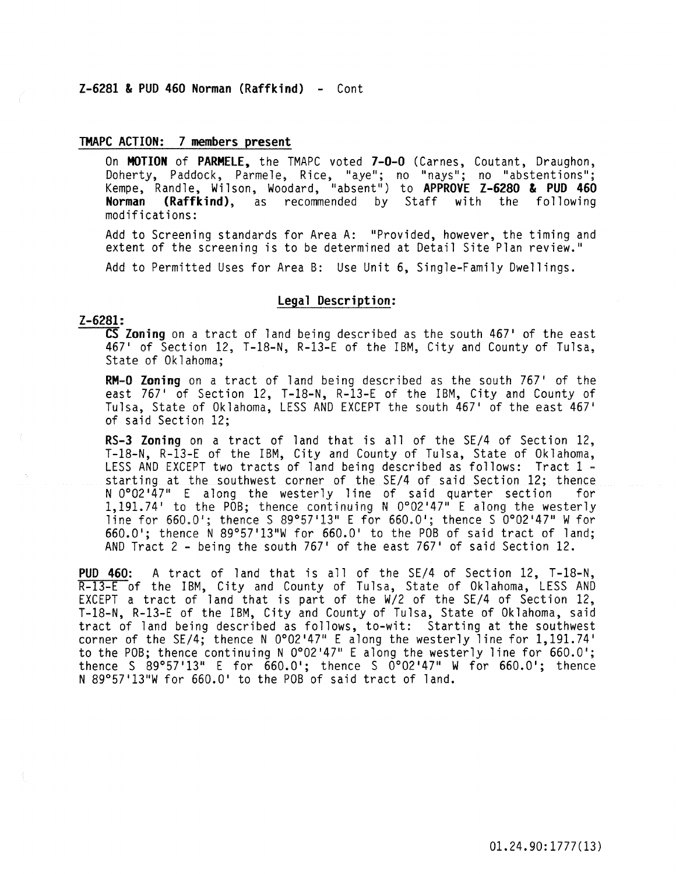On **MOTION** of PARMElE~ the TMAPC voted 7-0-0 (Carnes, Coutant, Draughon, Doherty, Paddock, Parmele, Rice, "aye"; no "nays"; no "abstentions"; Kempe, Randle, Wilson, Woodard, "absent") to APPROVE Z-6280 & PUD 460 Norman (Raffkind), as recommended by Staff with the following modifications:

Add to Screening standards for Area A: "Provided, however, the timing and extent of the screening is to be determined at Detail Site Plan review."

Add to Permitted Uses for Area B: Use Unit 6, Single-Family Dwellings.

#### legal Description:

#### Z-6281:

CS Zoning on a tract of land being described as the south 467' of the east 467' of Section 12, T-18-N, R-13-E of the IBM, City and County of Tulsa, State of Oklahoma;

RM-O Zoning on a tract of land being described as the south 767' of the east 767' of Section 12, T-18-N, R-13-E of the IBM, City and County of Tulsa, State of Oklahoma, LESS AND EXCEPT the south 467' of the east 467' of said Section 12;

RS-3 Zoning on a tract of land that is all of the SE/4 of Section 12, T-18-N, R-13-E of the IBM, City and County of Tulsa, State of Oklahoma, LESS AND EXCEPT two tracts of land being described as follows: Tract 1 - starting at the southwest corner of the SE/4 of said Section 12; thence N 0°02'47" E along the westerly line of said quarter section for 1,191.74' to the POB; thence continuing N 0°02'47" E along the westerly line for 660.0'; thence S 89°57 <sup>1</sup> 13" E for 660.0'; thence S 0°02'47" W for 660.0'; thence N 89°57'13"W for 660.0' to the POB of said tract of land; AND Tract 2 - being the south 767' of the east 767' of said Section 12.

PUD 460: A tract of land that is all of the SE/4 of Section 12, T-18-N, R-13-E of the IBM, City and County of Tulsa, State of Oklahoma, LESS AND EXCEPT a tract of land that is part of the W/2 of the SE/4 of Section 12, T-18-N, R-13-E of the IBM, City and County of Tulsa, State of Oklahoma, said tract of land being described as follows, to-wit: Starting at the southwest corner of the SE/4; thence N 0°02'47" E along the westerly line for 1,191.74' to the POB; thence continuing N 0°02'47" E along the westerly line for 660.0'; thence S 89°57'13" E for  $660.0$ '; thence S  $0^{\circ}02'47''$  W for  $660.0'$ ; thence N 89°57'13"W for 660.0' to the POB of said tract of land.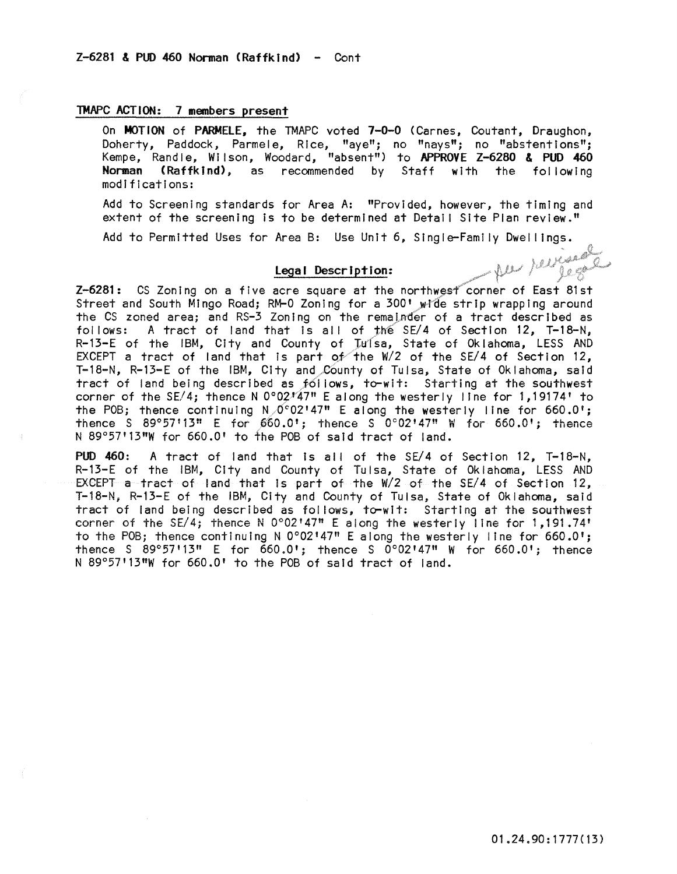On MOTION of PARMELE, the TMAPC voted 7-0-0 (Carnes, Coutant, Draughon, Doherty, Paddock, Parmele, Rice, "aye"; no "nays"; no "abstentions"; Kempe, Randle, Wilson, Woodard, "absent") to APPROVE Z-6280 & PUD 460 Norman (Raffklnd), as recommended by Staff with the following modifications:

Add to Screening standards for Area A: "Provided, however, the timing and extent of the screening is to be determined at Detail Site Plan review."

Add to Permitted Uses for Area B: Use Unit 6, Single-Family Dwellings.<br>Leaal Description

# Legal Description:

**Legal Description:**<br>Z-6281: CS Zoning on a five acre square at the northwest corner of East 81 st Street and South Mingo Road; RM-0 Zoning for a 300' wide strip wrapping around the CS zoned area; and RS-3 Zoning on the remainder of a tract described as follows: A tract of land that is all of the SE/4 of Section  $12$ , T-18-N, R-13-E of the IBM, City and County of Julsa, State of Oklahoma, LESS AND EXCEPT a tract of land that is part of the W/2 of the SE/4 of Section 12, T-18-N, R-13-E of the IBM, City and,County of Tulsa, State of Oklahoma, said tract of land being described as follows, to-wit: Starting at the southwest corner of the  $SE/4$ ; thence N 0°02 $\sqrt[4]{47}$ " E along the westerly line for 1,19174' to the POB; thence continuing N  $0^{\circ}$ 02'47" E along the westerly line for 660.0'; thence S 89°57'13" E for  $60.0$ '; thence S 0°02'47" W for 660.0'; thence N 89°57'13"W for 660.0' to the POB of said tract of land.

PUO 460: A tract of land that Is all of the SE/4 of Section 12, T-18-N, R-13-E of the IBM, City and County of Tulsa, State of Oklahoma, LESS AND EXCEPT a tract of  $1$  and that is part of the W/2 of the SE/4 of Section 12, T-18-N, R-13-E of the IBM, City and County of Tulsa, State of Oklahoma, said tract of land being described as foi lows, to-wit: Starting at the southwest corner of the SE/4; thence N 0°02'47" E along the westerly line for 1,191.74' to the POB; thence continuing N 0°02'47" E along the westerly line for 660.0'; thence S 89°57'13" E for  $660.0$ '; thence S  $0^{\circ}02'47''$  W for  $660.0'$ ; thence N 89°57'13"W for 660.0' to the POB of said tract of land.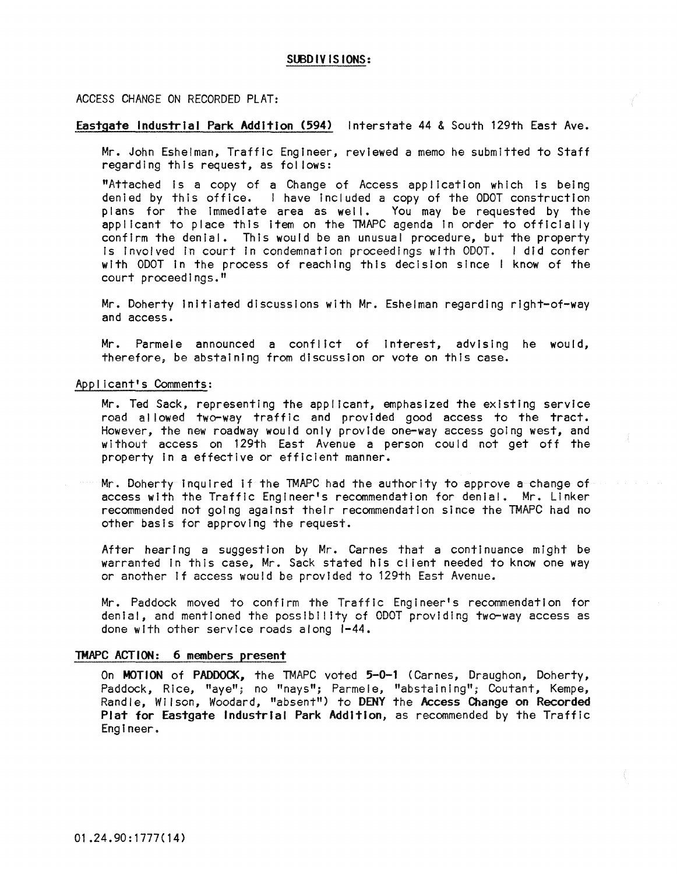# SUBD IV IS IONS:

# ACCESS CHANGE ON RECORDED PLAT:

## Eastgate Industrial Park Addition (594) Interstate 44 & South 129th East Ave.

Mr. John Eshelman, Traffic Engineer, reviewed a memo he submitted to Staff regarding this request, as fol lows:

"Attached Is a copy of a Change of Access application which Is being denied by this office. I have included a copy of the ODOT construction plans for the immediate area as well. You may be requested by the applicant to place this item on the TMAPC agenda in order to officially confirm the denial. This would be an unusual procedure, but the property Is Involved In court In condemnation proceedings with ODOT. I did confer with ODOT in the process of reaching this decision since I know of the court proceedings."

Mr. Doherty Initiated discussions with Mr. Eshelman regarding right-of-way and access.

Mr. Parmele announced a conflict of Interest, advising he would, therefore, be abstaining from discussion or vote on this case.

# Applicant's Comments:

Mr. Ted Sack, representing the applicant, emphasized the existing service road allowed two-way traffic and provided good access to the tract. However, the new roadway would only provide one-way access going west, and without access on 129th East Avenue a person could not get off the property In a effective or efficient manner.

Mr. Doherty Inquired If the TMAPC had the authority to approve a change of access with the Traffic Engineer's recommendation for denial. Mr. Linker recommended not goIng against their recommendation since the TMAPC had no other basis for approving the request.

After hearing a suggestion by Mr. Carnes that a continuance might be warranted In this case, Mr. Sack stated his cl lent needed to know one way **or another If access would be provided to 129th East Avenues** 

Mr. Paddock moved to confirm the Traffic Engineer's recommendation for **denial, and mentioned the possiblt tty of ODOT providing two-way access as**  done with other servIce roads along 1-44.

## TIMPC ACT ION: 6 members present

On MOTION of PADDOCK, the TMAPC voted 5-0-1 (Carnes, Draughon, Doherty, Paddock, Rice, "aye"; no "nays"; Parmele, "abstaining"; Coutant, Kempe, Randle, Wilson, Woodard, "absent") to DENY the Access Change on Recorded Plat for Eastgate Industrial Park Addition, as recommended by the Traffic Engineer.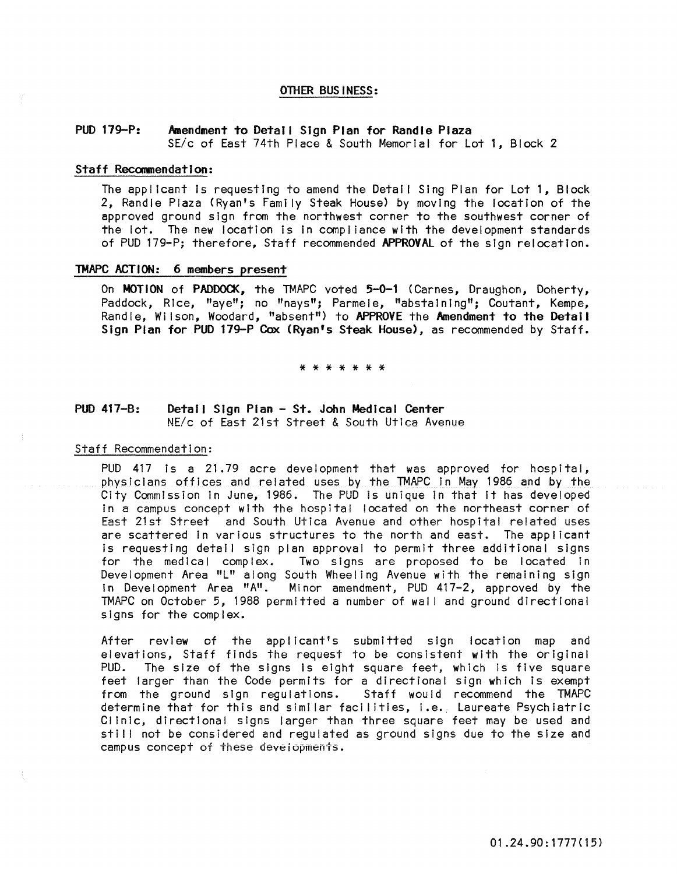#### OTHER BUS INESS:

# PUD 179-P: Amendment to Detail Sign Plan for Randle Plaza

SE/c of East 74th Place & South Memorial for Lot 1, Block 2

#### Staff Recommendation:

The applicant is requesting to amend the Detail Sing Plan for Lot 1, Block 2, Randle Plaza (Ryan's Family Steak House) by moving the location of the approved ground sign from the northwest corner to the southwest corner of the lot. The new location Is In compl lance with the development standards of PUD 179-P; therefore, Staff recommended APPROVAl of the sign relocation.

# TMAPC ACTION: 6 members present

On MOTION of PADDOCK, the TMAPC voted 5-0-1 (Carnes, Draughon, Doherty, Paddock, Rice, "aye"; no "nays"; Parmele, "abstaining"; Coutant, Kempe, Randle, Wilson, Woodard, "absent") to APPROVE the Amendment to the Detail Sign Plan for PUD 179-P Cox (Ryan's Steak House), as recommended by Staff.

#### \* \* \* \* \* \* \*

#### PUD 417-B: Detail Sign Plan - St. John Medical Center NE/c of East 21st Street & South Utica Avenue

#### Staff Recommendation:

PUD 417 Is a 21.79 acre development that was approved for hospital, physicians offices and related uses by the TMAPC in May 1986 and by the City Commission In June, 1986. The PUD is unique In that It has developed In a campus concept with the hospital located on the northeast corner of East 21st Street and South Utica Avenue and other hospital related uses are scattered in various structures to the north and east. The applicant is requesting detail sign plan approval to permit three additional signs for the medical complex. Two signs are proposed to be located in Development Area "L" along South Wheeling Avenue with the remaining sign In Development Area "A". Minor amendment, PUD 417-2, approved by the TMAPC on October 5, 1988 permitted a number of wall and ground directional signs for the complex.

After review of the applicant's submitted sign location map and elevations, Staff finds the request to be consistent with the original PUD. The size of the signs Is eight square feet, which Is five square feet larger than the Code permits for a directional sign which is exempt<br>from the ground sign regulations. Staff would recommend the TMAPC from the ground sign regulations. determine that for this and simi lar faci I ities, i.e. Laureate Psychiatric Clinic, directional signs larger than three square feet may be used and still not be considered and regulated as ground signs due to the size and campus concept of these deveiopments.